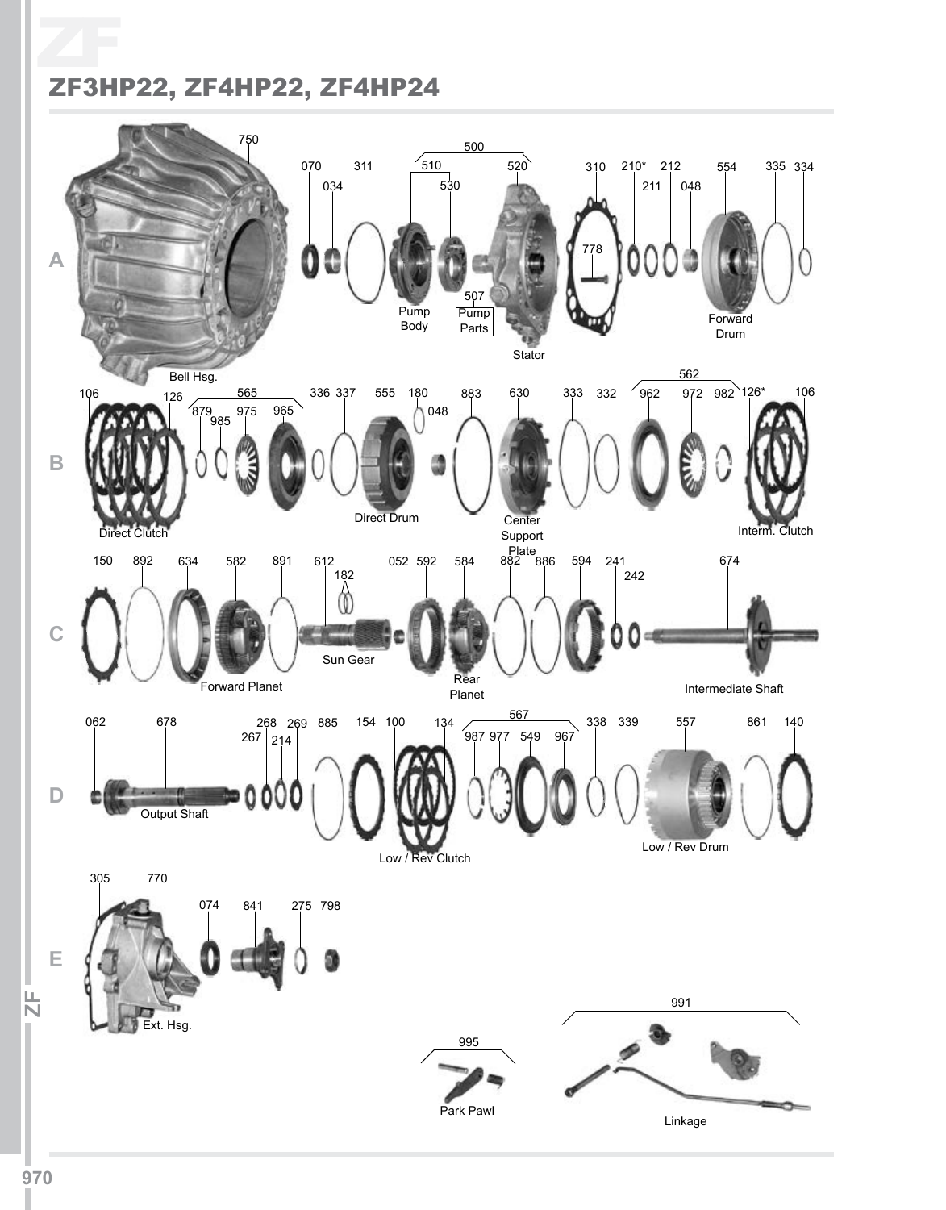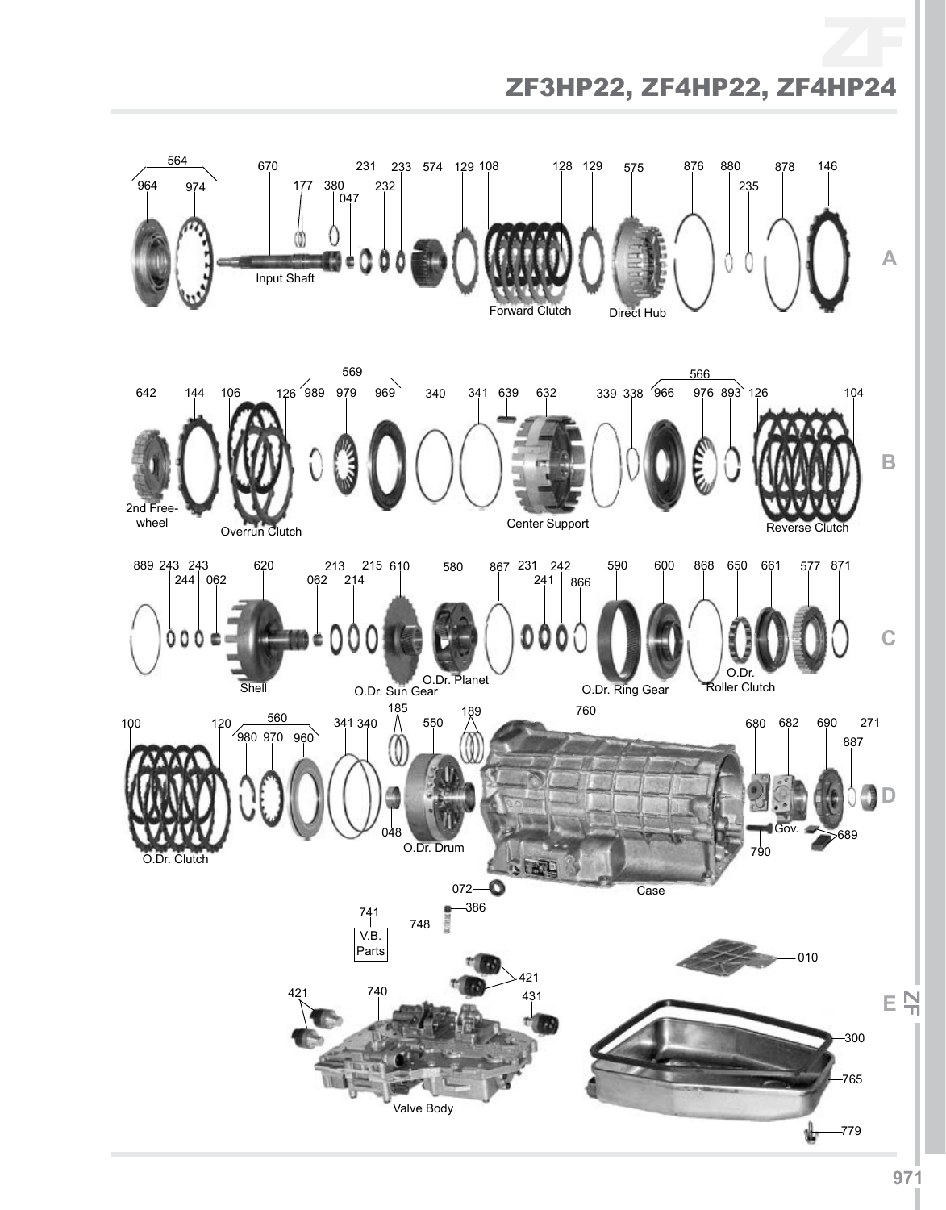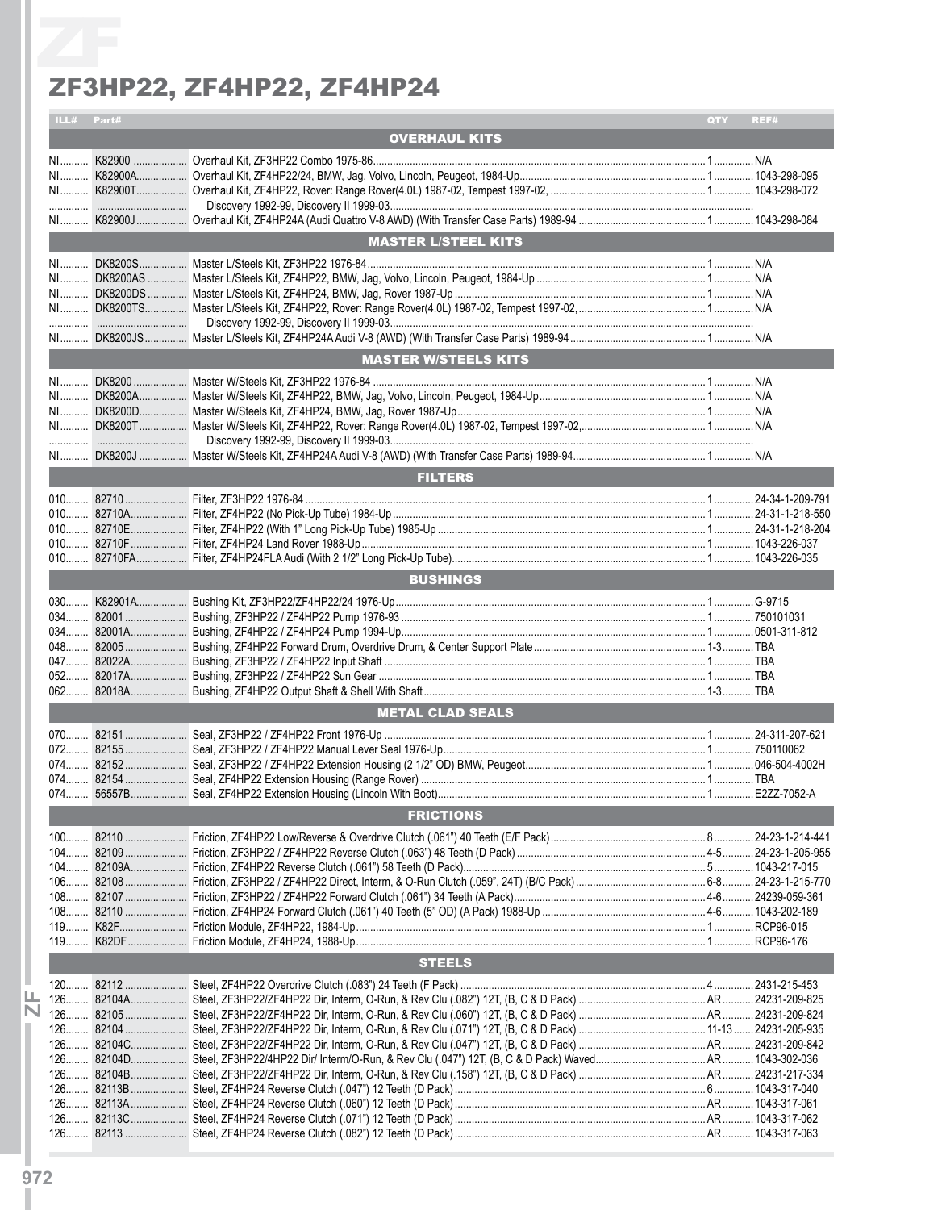|            | ZF3HP22, ZF4HP22, ZF4HP24   |             |
|------------|-----------------------------|-------------|
| ILL# Part# |                             | REF#<br>QTY |
|            | <b>OVERHAUL KITS</b>        |             |
|            |                             |             |
|            |                             |             |
|            |                             |             |
|            |                             |             |
|            | <b>MASTER L/STEEL KITS</b>  |             |
|            |                             |             |
|            |                             |             |
|            |                             |             |
|            |                             |             |
|            |                             |             |
|            | <b>MASTER W/STEELS KITS</b> |             |
|            |                             |             |
|            |                             |             |
|            |                             |             |
|            |                             |             |
|            |                             |             |
|            | <b>FILTERS</b>              |             |
|            |                             |             |
|            |                             |             |
|            |                             |             |
|            |                             |             |
|            |                             |             |
|            | <b>BUSHINGS</b>             |             |
|            |                             |             |
|            |                             |             |
|            |                             |             |
|            |                             |             |
|            |                             |             |
|            |                             |             |
|            | <b>METAL CLAD SEALS</b>     |             |
|            |                             |             |
|            |                             |             |
|            |                             |             |
|            |                             |             |
|            | <b>FRICTIONS</b>            |             |
|            |                             |             |
|            |                             |             |
|            |                             |             |
|            |                             |             |
|            |                             |             |
|            |                             |             |
|            | <b>STEELS</b>               |             |
|            |                             |             |
|            |                             |             |
|            |                             |             |
|            |                             |             |
|            |                             |             |
|            |                             |             |
|            |                             |             |
|            |                             |             |
|            |                             |             |
|            |                             |             |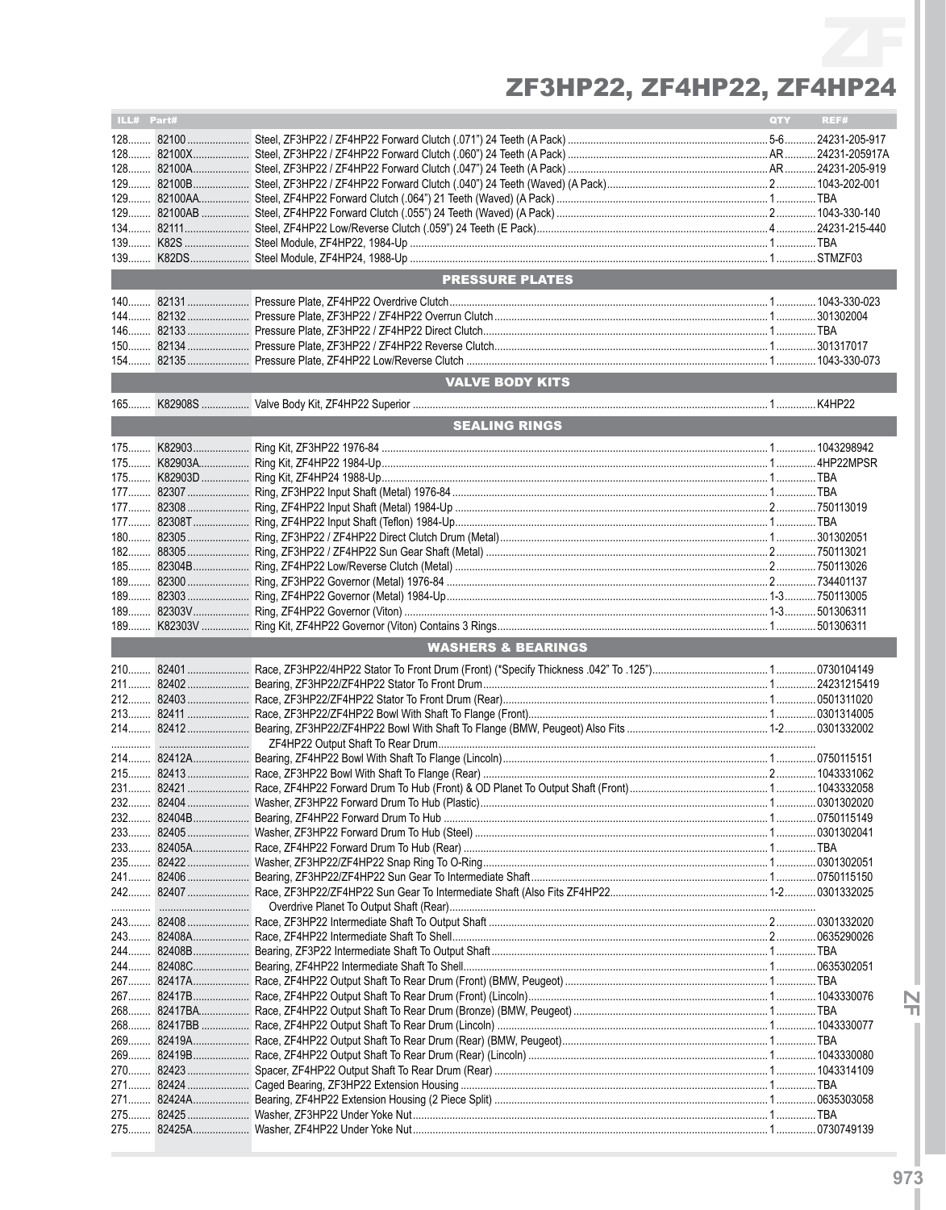| ILL# Part# |       |                               | QTY | REF# |
|------------|-------|-------------------------------|-----|------|
|            |       |                               |     |      |
|            |       |                               |     |      |
|            |       |                               |     |      |
|            |       |                               |     |      |
|            |       |                               |     |      |
|            |       |                               |     |      |
|            |       |                               |     |      |
|            |       |                               |     |      |
|            |       |                               |     |      |
|            |       | <b>PRESSURE PLATES</b>        |     |      |
|            |       |                               |     |      |
|            |       |                               |     |      |
|            |       |                               |     |      |
|            |       |                               |     |      |
|            |       |                               |     |      |
|            |       | <b>VALVE BODY KITS</b>        |     |      |
|            |       |                               |     |      |
|            |       | <b>SEALING RINGS</b>          |     |      |
|            |       |                               |     |      |
|            |       |                               |     |      |
|            |       |                               |     |      |
|            |       |                               |     |      |
|            |       |                               |     |      |
|            |       |                               |     |      |
|            |       |                               |     |      |
|            |       |                               |     |      |
|            |       |                               |     |      |
|            |       |                               |     |      |
|            |       |                               |     |      |
|            |       |                               |     |      |
|            |       |                               |     |      |
|            |       | <b>WASHERS &amp; BEARINGS</b> |     |      |
|            |       |                               |     |      |
|            |       |                               |     |      |
|            |       |                               |     |      |
|            |       |                               |     |      |
|            |       |                               |     |      |
|            |       |                               |     |      |
|            |       |                               |     |      |
|            |       |                               |     |      |
| $232$      | 82404 |                               |     |      |
|            |       |                               |     |      |
|            |       |                               |     |      |
|            |       |                               |     |      |
|            |       |                               |     |      |
|            |       |                               |     |      |
|            |       |                               |     |      |
|            |       |                               |     |      |
|            |       |                               |     |      |
|            |       |                               |     |      |
|            |       |                               |     |      |
|            |       |                               |     |      |
|            |       |                               |     |      |
|            |       |                               |     |      |
|            |       |                               |     |      |
|            |       |                               |     |      |
|            |       |                               |     |      |
|            |       |                               |     |      |
|            |       |                               |     |      |
|            |       |                               |     |      |
|            |       |                               |     |      |
|            |       |                               |     |      |
|            |       |                               |     |      |

 $\frac{N}{1}$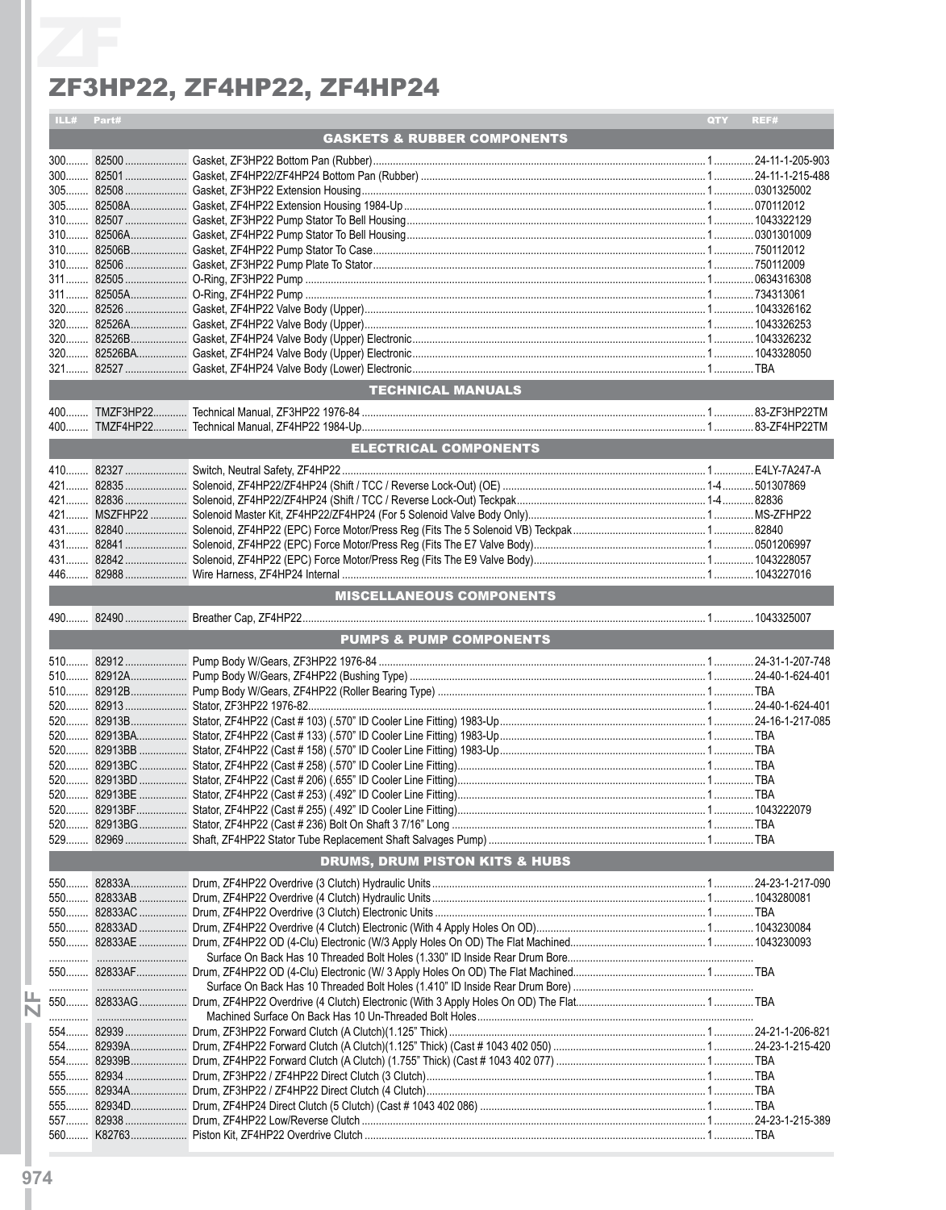| ILL# Part# |                                                      | <b>QTY</b> | REF# |
|------------|------------------------------------------------------|------------|------|
|            | <b>GASKETS &amp; RUBBER COMPONENTS</b>               |            |      |
|            |                                                      |            |      |
|            |                                                      |            |      |
|            |                                                      |            |      |
|            |                                                      |            |      |
|            |                                                      |            |      |
|            |                                                      |            |      |
|            |                                                      |            |      |
|            |                                                      |            |      |
|            |                                                      |            |      |
|            |                                                      |            |      |
|            |                                                      |            |      |
|            |                                                      |            |      |
|            |                                                      |            |      |
|            |                                                      |            |      |
|            |                                                      |            |      |
|            | TECHNICAL MANUALS                                    |            |      |
|            |                                                      |            |      |
|            |                                                      |            |      |
|            | ELECTRICAL COMPONENTS ________                       |            |      |
|            |                                                      |            |      |
|            |                                                      |            |      |
|            |                                                      |            |      |
|            |                                                      |            |      |
|            |                                                      |            |      |
|            |                                                      |            |      |
|            |                                                      |            |      |
|            |                                                      |            |      |
|            |                                                      |            |      |
|            | MISCELLANEOUS COMPONENTS<br>MISCELLANEOUS COMPONENTS |            |      |
|            |                                                      |            |      |
|            | <b>PUMPS &amp; PUMP COMPONENTS</b>                   |            |      |
|            |                                                      |            |      |
|            |                                                      |            |      |
|            |                                                      |            |      |
|            |                                                      |            |      |
|            |                                                      |            |      |
|            |                                                      |            |      |
|            |                                                      |            |      |
|            |                                                      |            |      |
|            |                                                      |            |      |
|            |                                                      |            |      |
|            |                                                      |            |      |
|            |                                                      |            |      |
|            |                                                      |            |      |
|            | <b>DRUMS, DRUM PISTON KITS &amp; HUBS</b>            |            |      |
|            |                                                      |            |      |
|            |                                                      |            |      |
|            |                                                      |            |      |
|            |                                                      |            |      |
|            |                                                      |            |      |
|            |                                                      |            |      |
|            |                                                      |            |      |
|            |                                                      |            |      |
|            |                                                      |            |      |
|            |                                                      |            |      |
|            |                                                      |            |      |
|            |                                                      |            |      |
|            |                                                      |            |      |
|            |                                                      |            |      |
|            |                                                      |            |      |
|            |                                                      |            |      |
| 555        |                                                      |            |      |
|            |                                                      |            |      |
|            |                                                      |            |      |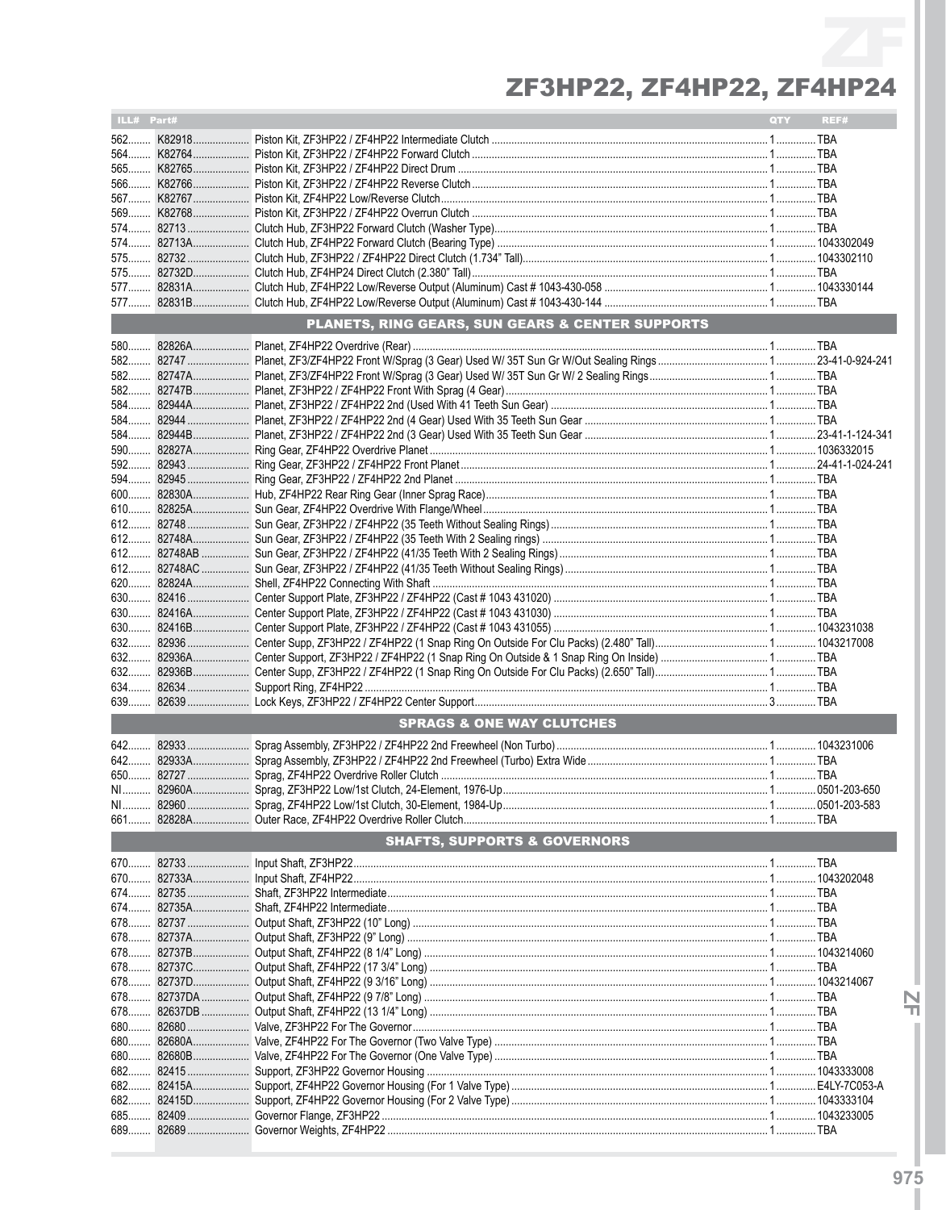| ILL# Part# |                                                             | QTY | REF# |
|------------|-------------------------------------------------------------|-----|------|
|            |                                                             |     |      |
|            |                                                             |     |      |
|            |                                                             |     |      |
|            |                                                             |     |      |
|            |                                                             |     |      |
|            |                                                             |     |      |
|            |                                                             |     |      |
|            |                                                             |     |      |
|            |                                                             |     |      |
|            |                                                             |     |      |
|            |                                                             |     |      |
|            |                                                             |     |      |
|            | <b>PLANETS, RING GEARS, SUN GEARS &amp; CENTER SUPPORTS</b> |     |      |
|            |                                                             |     |      |
|            |                                                             |     |      |
|            |                                                             |     |      |
|            |                                                             |     |      |
|            |                                                             |     |      |
|            |                                                             |     |      |
|            |                                                             |     |      |
|            |                                                             |     |      |
|            |                                                             |     |      |
|            |                                                             |     |      |
|            |                                                             |     |      |
|            |                                                             |     |      |
|            |                                                             |     |      |
|            |                                                             |     |      |
|            |                                                             |     |      |
|            |                                                             |     |      |
|            |                                                             |     |      |
|            |                                                             |     |      |
|            |                                                             |     |      |
|            |                                                             |     |      |
|            |                                                             |     |      |
|            |                                                             |     |      |
|            |                                                             |     |      |
| 639        |                                                             |     |      |
|            | <b>SPRAGS &amp; ONE WAY CLUTCHES</b>                        |     |      |
| 642        |                                                             |     |      |
| 642        |                                                             |     |      |
|            |                                                             |     |      |
|            |                                                             |     |      |
|            |                                                             |     |      |
|            |                                                             |     |      |
|            | <b>SHAFTS, SUPPORTS &amp; GOVERNORS</b>                     |     |      |
|            |                                                             |     |      |
|            |                                                             |     |      |
|            |                                                             |     |      |
|            |                                                             |     |      |
|            |                                                             |     |      |
|            |                                                             |     |      |
|            |                                                             |     |      |
|            |                                                             |     |      |
|            |                                                             |     |      |
|            |                                                             |     |      |
|            |                                                             |     |      |
|            |                                                             |     |      |
|            |                                                             |     |      |
| 680        |                                                             |     |      |
|            |                                                             |     |      |
|            |                                                             |     |      |
|            |                                                             |     |      |
| 689        |                                                             |     |      |
|            |                                                             |     |      |

 $\frac{N}{1}$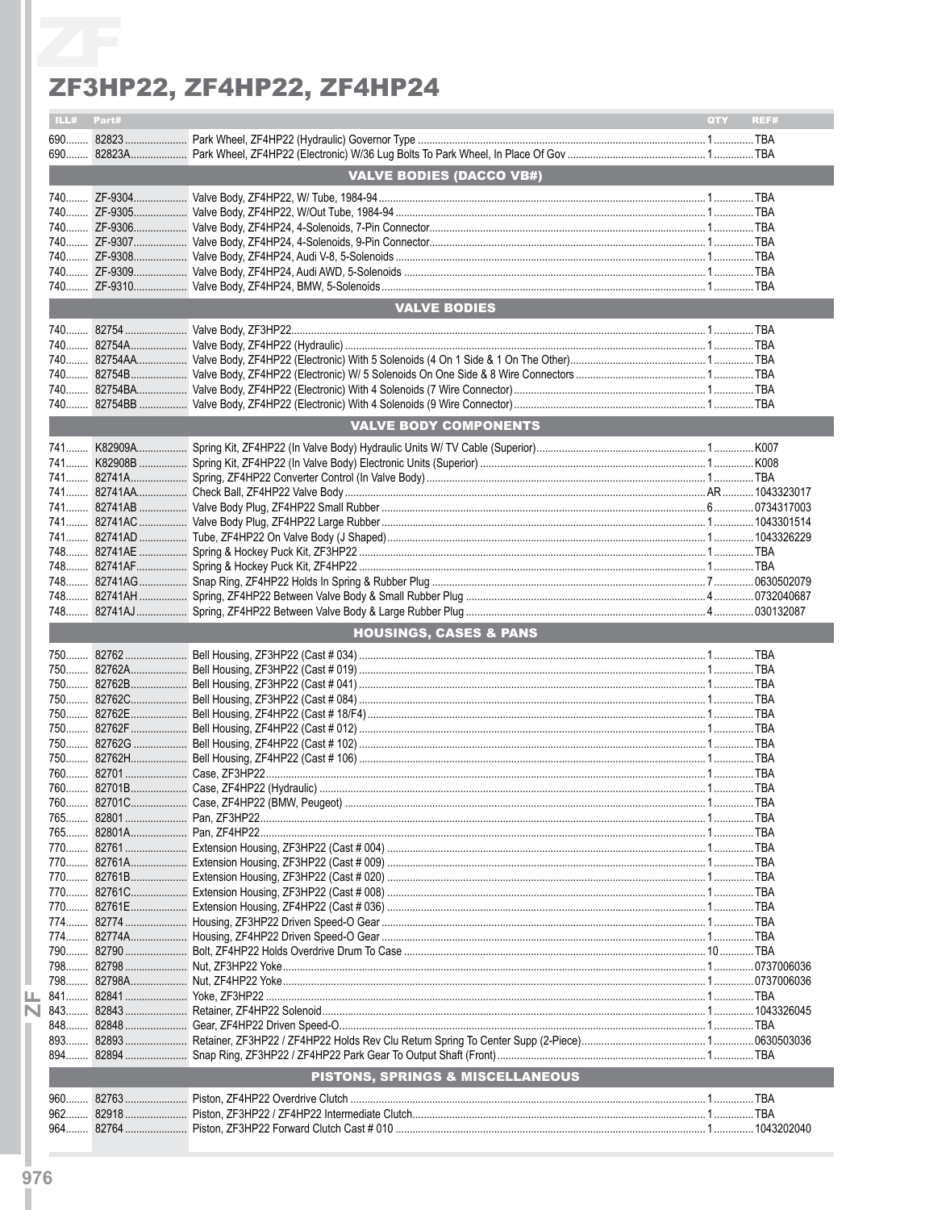| ILL# Part# |            |                                             | QTY <b>A</b> | REF# |
|------------|------------|---------------------------------------------|--------------|------|
|            |            |                                             |              |      |
|            |            |                                             |              |      |
|            |            | <b>VALVE BODIES (DACCO VB#)</b>             |              |      |
|            |            |                                             |              |      |
|            |            |                                             |              |      |
|            |            |                                             |              |      |
|            |            |                                             |              |      |
|            |            |                                             |              |      |
|            |            |                                             |              |      |
|            |            |                                             |              |      |
|            |            |                                             |              |      |
|            |            | <b>VALVE BODIES</b>                         |              |      |
|            |            |                                             |              |      |
|            |            |                                             |              |      |
|            |            |                                             |              |      |
|            |            |                                             |              |      |
|            |            |                                             |              |      |
|            |            |                                             |              |      |
|            |            |                                             |              |      |
|            |            | <b>VALVE BODY COMPONENTS</b>                |              |      |
|            |            |                                             |              |      |
|            |            |                                             |              |      |
|            |            |                                             |              |      |
|            |            |                                             |              |      |
|            |            |                                             |              |      |
|            |            |                                             |              |      |
|            |            |                                             |              |      |
|            |            |                                             |              |      |
|            |            |                                             |              |      |
|            |            |                                             |              |      |
|            |            |                                             |              |      |
|            |            |                                             |              |      |
|            |            |                                             |              |      |
|            |            | <b>HOUSINGS, CASES &amp; PANS</b>           |              |      |
|            |            |                                             |              |      |
|            |            |                                             |              |      |
|            |            |                                             |              |      |
|            |            |                                             |              |      |
|            |            |                                             |              |      |
|            |            |                                             |              |      |
|            |            |                                             |              |      |
|            |            |                                             |              |      |
|            |            |                                             |              |      |
|            |            |                                             |              |      |
|            |            |                                             |              |      |
|            |            |                                             |              |      |
|            | 765 82801  |                                             |              |      |
|            | 765 82801A |                                             |              |      |
|            | 770 82761  |                                             |              |      |
|            |            |                                             |              |      |
|            | 770 82761B |                                             |              |      |
|            | 770 82761C |                                             |              |      |
|            | 770 82761E |                                             |              |      |
|            | 774 82774  |                                             |              |      |
|            |            |                                             |              |      |
|            |            |                                             |              |      |
| 790        | 82790      |                                             |              |      |
|            |            |                                             |              |      |
|            |            |                                             |              |      |
|            |            |                                             |              |      |
|            |            |                                             |              |      |
|            |            |                                             |              |      |
|            |            |                                             |              |      |
|            |            |                                             |              |      |
|            |            | <b>PISTONS, SPRINGS &amp; MISCELLANEOUS</b> |              |      |
| 960.       |            |                                             |              |      |
|            |            |                                             |              |      |
|            |            |                                             |              |      |
| $962$      |            |                                             |              |      |